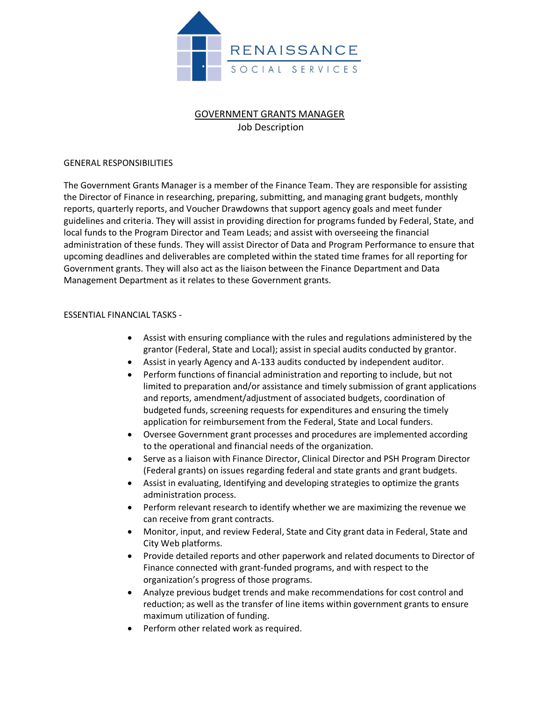

# GOVERNMENT GRANTS MANAGER Job Description

## GENERAL RESPONSIBILITIES

The Government Grants Manager is a member of the Finance Team. They are responsible for assisting the Director of Finance in researching, preparing, submitting, and managing grant budgets, monthly reports, quarterly reports, and Voucher Drawdowns that support agency goals and meet funder guidelines and criteria. They will assist in providing direction for programs funded by Federal, State, and local funds to the Program Director and Team Leads; and assist with overseeing the financial administration of these funds. They will assist Director of Data and Program Performance to ensure that upcoming deadlines and deliverables are completed within the stated time frames for all reporting for Government grants. They will also act as the liaison between the Finance Department and Data Management Department as it relates to these Government grants.

### ESSENTIAL FINANCIAL TASKS -

- Assist with ensuring compliance with the rules and regulations administered by the grantor (Federal, State and Local); assist in special audits conducted by grantor.
- Assist in yearly Agency and A-133 audits conducted by independent auditor.
- Perform functions of financial administration and reporting to include, but not limited to preparation and/or assistance and timely submission of grant applications and reports, amendment/adjustment of associated budgets, coordination of budgeted funds, screening requests for expenditures and ensuring the timely application for reimbursement from the Federal, State and Local funders.
- Oversee Government grant processes and procedures are implemented according to the operational and financial needs of the organization.
- Serve as a liaison with Finance Director, Clinical Director and PSH Program Director (Federal grants) on issues regarding federal and state grants and grant budgets.
- Assist in evaluating, Identifying and developing strategies to optimize the grants administration process.
- Perform relevant research to identify whether we are maximizing the revenue we can receive from grant contracts.
- Monitor, input, and review Federal, State and City grant data in Federal, State and City Web platforms.
- Provide detailed reports and other paperwork and related documents to Director of Finance connected with grant-funded programs, and with respect to the organization's progress of those programs.
- Analyze previous budget trends and make recommendations for cost control and reduction; as well as the transfer of line items within government grants to ensure maximum utilization of funding.
- Perform other related work as required.